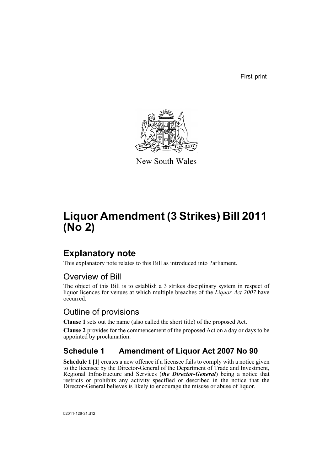First print



New South Wales

# **Liquor Amendment (3 Strikes) Bill 2011 (No 2)**

# **Explanatory note**

This explanatory note relates to this Bill as introduced into Parliament.

# Overview of Bill

The object of this Bill is to establish a 3 strikes disciplinary system in respect of liquor licences for venues at which multiple breaches of the *Liquor Act 2007* have occurred.

# Outline of provisions

**Clause 1** sets out the name (also called the short title) of the proposed Act.

**Clause 2** provides for the commencement of the proposed Act on a day or days to be appointed by proclamation.

# **Schedule 1 Amendment of Liquor Act 2007 No 90**

**Schedule 1 [1]** creates a new offence if a licensee fails to comply with a notice given to the licensee by the Director-General of the Department of Trade and Investment, Regional Infrastructure and Services (*the Director-General*) being a notice that restricts or prohibits any activity specified or described in the notice that the Director-General believes is likely to encourage the misuse or abuse of liquor.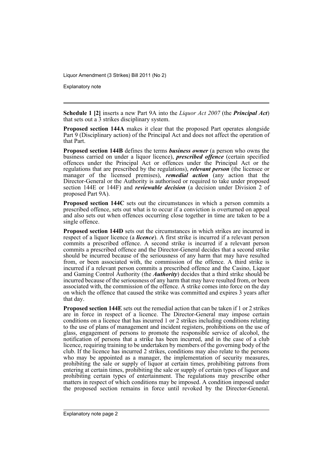Explanatory note

**Schedule 1 [2]** inserts a new Part 9A into the *Liquor Act 2007* (the *Principal Act*) that sets out a 3 strikes disciplinary system.

**Proposed section 144A** makes it clear that the proposed Part operates alongside Part 9 (Disciplinary action) of the Principal Act and does not affect the operation of that Part.

**Proposed section 144B** defines the terms *business owner* (a person who owns the business carried on under a liquor licence), *prescribed offence* (certain specified offences under the Principal Act or offences under the Principal Act or the regulations that are prescribed by the regulations), *relevant person* (the licensee or manager of the licensed premises), *remedial action* (any action that the Director-General or the Authority is authorised or required to take under proposed section 144E or 144F) and *reviewable decision* (a decision under Division 2 of proposed Part 9A).

**Proposed section 144C** sets out the circumstances in which a person commits a prescribed offence, sets out what is to occur if a conviction is overturned on appeal and also sets out when offences occurring close together in time are taken to be a single offence.

**Proposed section 144D** sets out the circumstances in which strikes are incurred in respect of a liquor licence (a *licence*). A first strike is incurred if a relevant person commits a prescribed offence. A second strike is incurred if a relevant person commits a prescribed offence and the Director-General decides that a second strike should be incurred because of the seriousness of any harm that may have resulted from, or been associated with, the commission of the offence. A third strike is incurred if a relevant person commits a prescribed offence and the Casino, Liquor and Gaming Control Authority (the *Authority*) decides that a third strike should be incurred because of the seriousness of any harm that may have resulted from, or been associated with, the commission of the offence. A strike comes into force on the day on which the offence that caused the strike was committed and expires 3 years after that day.

**Proposed section 144E** sets out the remedial action that can be taken if 1 or 2 strikes are in force in respect of a licence. The Director-General may impose certain conditions on a licence that has incurred 1 or 2 strikes including conditions relating to the use of plans of management and incident registers, prohibitions on the use of glass, engagement of persons to promote the responsible service of alcohol, the notification of persons that a strike has been incurred, and in the case of a club licence, requiring training to be undertaken by members of the governing body of the club. If the licence has incurred 2 strikes, conditions may also relate to the persons who may be appointed as a manager, the implementation of security measures, prohibiting the sale or supply of liquor at certain times, prohibiting patrons from entering at certain times, prohibiting the sale or supply of certain types of liquor and prohibiting certain types of entertainment. The regulations may prescribe other matters in respect of which conditions may be imposed. A condition imposed under the proposed section remains in force until revoked by the Director-General.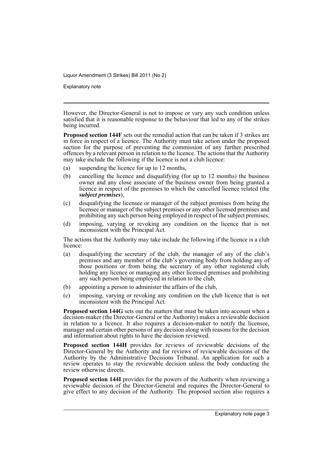Explanatory note

However, the Director-General is not to impose or vary any such condition unless satisfied that it is reasonable response to the behaviour that led to any of the strikes being incurred.

**Proposed section 144F** sets out the remedial action that can be taken if 3 strikes are in force in respect of a licence. The Authority must take action under the proposed section for the purpose of preventing the commission of any further prescribed offences by a relevant person in relation to the licence. The actions that the Authority may take include the following if the licence is not a club licence:

- (a) suspending the licence for up to 12 months,
- (b) cancelling the licence and disqualifying (for up to 12 months) the business owner and any close associate of the business owner from being granted a licence in respect of the premises to which the cancelled licence related (the *subject premises*),
- (c) disqualifying the licensee or manager of the subject premises from being the licensee or manager of the subject premises or any other licensed premises and prohibiting any such person being employed in respect of the subject premises,
- (d) imposing, varying or revoking any condition on the licence that is not inconsistent with the Principal Act.

The actions that the Authority may take include the following if the licence is a club licence:

- (a) disqualifying the secretary of the club, the manager of any of the club's premises and any member of the club's governing body from holding any of those positions or from being the secretary of any other registered club, holding any licence or managing any other licensed premises and prohibiting any such person being employed in relation to the club,
- (b) appointing a person to administer the affairs of the club,
- (c) imposing, varying or revoking any condition on the club licence that is not inconsistent with the Principal Act.

**Proposed section 144G** sets out the matters that must be taken into account when a decision-maker (the Director-General or the Authority) makes a reviewable decision in relation to a licence. It also requires a decision-maker to notify the licensee, manager and certain other persons of any decision along with reasons for the decision and information about rights to have the decision reviewed.

**Proposed section 144H** provides for reviews of reviewable decisions of the Director-General by the Authority and for reviews of reviewable decisions of the Authority by the Administrative Decisions Tribunal. An application for such a review operates to stay the reviewable decision unless the body conducting the review otherwise directs.

**Proposed section 144I** provides for the powers of the Authority when reviewing a reviewable decision of the Director-General and requires the Director-General to give effect to any decision of the Authority. The proposed section also requires a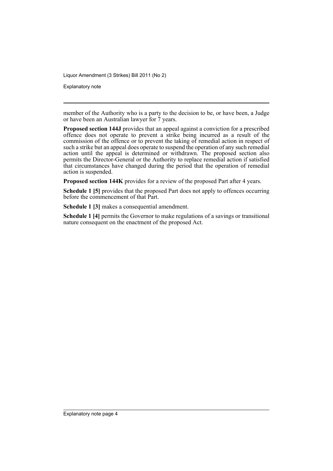Explanatory note

member of the Authority who is a party to the decision to be, or have been, a Judge or have been an Australian lawyer for  $\tilde{7}$  years.

**Proposed section 144J** provides that an appeal against a conviction for a prescribed offence does not operate to prevent a strike being incurred as a result of the commission of the offence or to prevent the taking of remedial action in respect of such a strike but an appeal does operate to suspend the operation of any such remedial action until the appeal is determined or withdrawn. The proposed section also permits the Director-General or the Authority to replace remedial action if satisfied that circumstances have changed during the period that the operation of remedial action is suspended.

**Proposed section 144K** provides for a review of the proposed Part after 4 years.

**Schedule 1 [5]** provides that the proposed Part does not apply to offences occurring before the commencement of that Part.

**Schedule 1 [3]** makes a consequential amendment.

**Schedule 1 [4]** permits the Governor to make regulations of a savings or transitional nature consequent on the enactment of the proposed Act.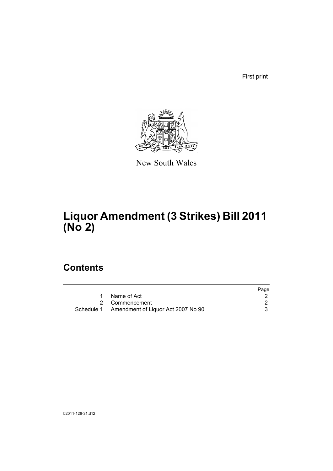First print



New South Wales

# **Liquor Amendment (3 Strikes) Bill 2011 (No 2)**

# **Contents**

|                                               | Page |
|-----------------------------------------------|------|
| Name of Act                                   |      |
| 2 Commencement                                |      |
| Schedule 1 Amendment of Liquor Act 2007 No 90 |      |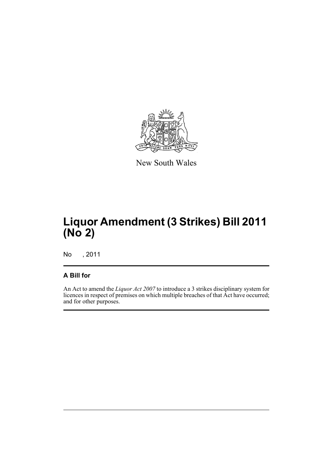

New South Wales

# **Liquor Amendment (3 Strikes) Bill 2011 (No 2)**

No , 2011

## **A Bill for**

An Act to amend the *Liquor Act 2007* to introduce a 3 strikes disciplinary system for licences in respect of premises on which multiple breaches of that Act have occurred; and for other purposes.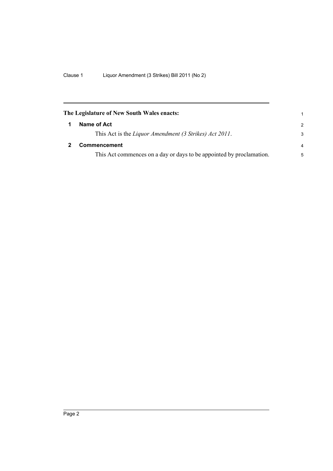<span id="page-7-1"></span><span id="page-7-0"></span>

| The Legislature of New South Wales enacts:                           | 1              |
|----------------------------------------------------------------------|----------------|
| Name of Act                                                          | $\mathcal{P}$  |
| This Act is the Liquor Amendment (3 Strikes) Act 2011.               | 3              |
| Commencement                                                         | $\overline{a}$ |
| This Act commences on a day or days to be appointed by proclamation. | 5              |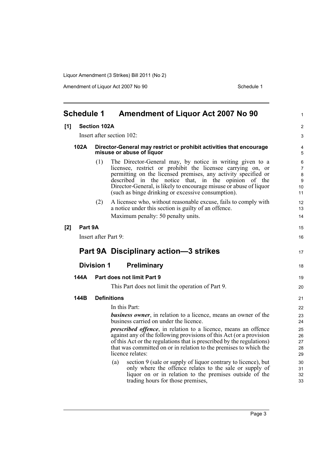Amendment of Liquor Act 2007 No 90 Schedule 1

<span id="page-8-0"></span>

|     | <b>Schedule 1</b> |                      | <b>Amendment of Liquor Act 2007 No 90</b>                                                                                                                                                                                                                                                                                                                                     | $\mathbf{1}$                              |
|-----|-------------------|----------------------|-------------------------------------------------------------------------------------------------------------------------------------------------------------------------------------------------------------------------------------------------------------------------------------------------------------------------------------------------------------------------------|-------------------------------------------|
| [1] |                   | <b>Section 102A</b>  |                                                                                                                                                                                                                                                                                                                                                                               | $\overline{2}$                            |
|     |                   |                      | Insert after section 102:                                                                                                                                                                                                                                                                                                                                                     | 3                                         |
|     | 102A              |                      | Director-General may restrict or prohibit activities that encourage<br>misuse or abuse of liquor                                                                                                                                                                                                                                                                              | 4<br>5                                    |
|     |                   | (1)                  | The Director-General may, by notice in writing given to a<br>licensee, restrict or prohibit the licensee carrying on, or<br>permitting on the licensed premises, any activity specified or<br>described in the notice that, in the opinion of the<br>Director-General, is likely to encourage misuse or abuse of liquor<br>(such as binge drinking or excessive consumption). | 6<br>$\overline{7}$<br>8<br>9<br>10<br>11 |
|     |                   | (2)                  | A licensee who, without reasonable excuse, fails to comply with<br>a notice under this section is guilty of an offence.                                                                                                                                                                                                                                                       | 12<br>13                                  |
|     |                   |                      | Maximum penalty: 50 penalty units.                                                                                                                                                                                                                                                                                                                                            | 14                                        |
| [2] | Part 9A           |                      |                                                                                                                                                                                                                                                                                                                                                                               | 15                                        |
|     |                   | Insert after Part 9: |                                                                                                                                                                                                                                                                                                                                                                               | 16                                        |
|     |                   |                      | Part 9A Disciplinary action-3 strikes                                                                                                                                                                                                                                                                                                                                         | 17                                        |
|     |                   | <b>Division 1</b>    | <b>Preliminary</b>                                                                                                                                                                                                                                                                                                                                                            | 18                                        |
|     | 144A              |                      | Part does not limit Part 9                                                                                                                                                                                                                                                                                                                                                    | 19                                        |
|     |                   |                      | This Part does not limit the operation of Part 9.                                                                                                                                                                                                                                                                                                                             | 20                                        |
|     | 144B              |                      | <b>Definitions</b>                                                                                                                                                                                                                                                                                                                                                            | 21                                        |
|     |                   |                      | In this Part:                                                                                                                                                                                                                                                                                                                                                                 | 22                                        |
|     |                   |                      | <b>business owner</b> , in relation to a licence, means an owner of the<br>business carried on under the licence.                                                                                                                                                                                                                                                             | 23<br>24                                  |
|     |                   |                      | <i>prescribed offence</i> , in relation to a licence, means an offence<br>against any of the following provisions of this Act (or a provision<br>of this Act or the regulations that is prescribed by the regulations)<br>that was committed on or in relation to the premises to which the<br>licence relates:                                                               | 25<br>26<br>27<br>28<br>29                |
|     |                   |                      | section 9 (sale or supply of liquor contrary to licence), but<br>(a)<br>only where the offence relates to the sale or supply of<br>liquor on or in relation to the premises outside of the<br>trading hours for those premises,                                                                                                                                               | 30<br>31<br>32<br>33                      |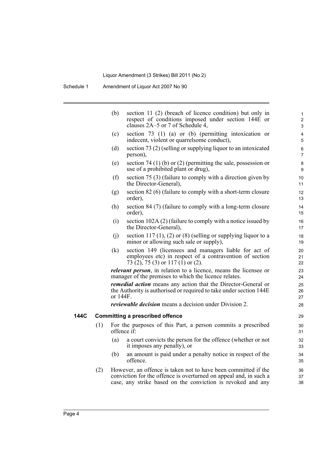|     | (b)      | section 11 (2) (breach of licence condition) but only in<br>respect of conditions imposed under section 144E or<br>clauses 2A–5 or 7 of Schedule 4,                                                | 1<br>$\overline{c}$<br>3 |
|-----|----------|----------------------------------------------------------------------------------------------------------------------------------------------------------------------------------------------------|--------------------------|
|     | (c)      | section $73$ (1) (a) or (b) (permitting intoxication or<br>indecent, violent or quarrelsome conduct),                                                                                              | 4<br>5                   |
|     | (d)      | section 73 (2) (selling or supplying liquor to an intoxicated<br>person),                                                                                                                          | 6<br>7                   |
|     | (e)      | section 74 (1) (b) or (2) (permitting the sale, possession or<br>use of a prohibited plant or drug),                                                                                               | 8<br>9                   |
|     | (f)      | section 75 (3) (failure to comply with a direction given by<br>the Director-General),                                                                                                              | 10<br>11                 |
|     | (g)      | section 82 (6) (failure to comply with a short-term closure<br>order),                                                                                                                             | 12<br>13                 |
|     | (h)      | section 84 (7) (failure to comply with a long-term closure<br>order),                                                                                                                              | 14<br>15                 |
|     | (i)      | section 102A (2) (failure to comply with a notice issued by<br>the Director-General),                                                                                                              | 16<br>17                 |
|     | (j)      | section 117 (1), (2) or (8) (selling or supplying liquor to a<br>minor or allowing such sale or supply),                                                                                           | 18<br>19                 |
|     | (k)      | section 149 (licensees and managers liable for act of<br>employees etc) in respect of a contravention of section<br>73 (2), 75 (3) or 117 (1) or (2).                                              | 20<br>21<br>22           |
|     |          | <i>relevant person</i> , in relation to a licence, means the licensee or<br>manager of the premises to which the licence relates.                                                                  | 23<br>24                 |
|     | or 144F. | <b>remedial action</b> means any action that the Director-General or<br>the Authority is authorised or required to take under section 144E                                                         | 25<br>26<br>27           |
|     |          | <i>reviewable decision</i> means a decision under Division 2.                                                                                                                                      | 28                       |
|     |          | <b>Committing a prescribed offence</b>                                                                                                                                                             | 29                       |
| (1) |          | For the purposes of this Part, a person commits a prescribed<br>offence if:                                                                                                                        | 30<br>31                 |
|     | (a)      | a court convicts the person for the offence (whether or not<br>it imposes any penalty), or                                                                                                         | 32<br>33                 |
|     | (b)      | an amount is paid under a penalty notice in respect of the<br>offence.                                                                                                                             | 34<br>35                 |
| (2) |          | However, an offence is taken not to have been committed if the<br>conviction for the offence is overturned on appeal and, in such a<br>case, any strike based on the conviction is revoked and any | 36<br>37<br>38           |

**144C**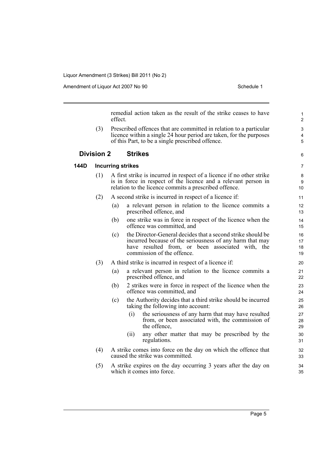Amendment of Liquor Act 2007 No 90 Schedule 1

remedial action taken as the result of the strike ceases to have effect.

(3) Prescribed offences that are committed in relation to a particular licence within a single 24 hour period are taken, for the purposes of this Part, to be a single prescribed offence.

#### **Division 2 Strikes**

**144D Incurring strikes**

### 6 7

### (1) A first strike is incurred in respect of a licence if no other strike is in force in respect of the licence and a relevant person in relation to the licence commits a prescribed offence.

- (2) A second strike is incurred in respect of a licence if:
	- (a) a relevant person in relation to the licence commits a prescribed offence, and
	- (b) one strike was in force in respect of the licence when the offence was committed, and
	- (c) the Director-General decides that a second strike should be incurred because of the seriousness of any harm that may have resulted from, or been associated with, the commission of the offence.
- (3) A third strike is incurred in respect of a licence if:
	- (a) a relevant person in relation to the licence commits a prescribed offence, and
	- (b) 2 strikes were in force in respect of the licence when the offence was committed, and
	- (c) the Authority decides that a third strike should be incurred taking the following into account:
		- (i) the seriousness of any harm that may have resulted from, or been associated with, the commission of the offence,
		- (ii) any other matter that may be prescribed by the regulations.
- (4) A strike comes into force on the day on which the offence that caused the strike was committed.
- (5) A strike expires on the day occurring 3 years after the day on which it comes into force.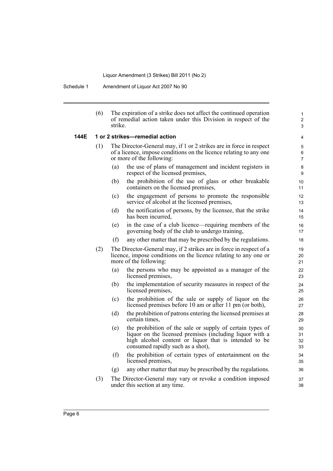Schedule 1 Amendment of Liquor Act 2007 No 90

|      | (6) | The expiration of a strike does not affect the continued operation<br>of remedial action taken under this Division in respect of the<br>strike.                                                                            | $\mathbf{1}$<br>$\overline{c}$<br>3 |
|------|-----|----------------------------------------------------------------------------------------------------------------------------------------------------------------------------------------------------------------------------|-------------------------------------|
| 144E |     | 1 or 2 strikes-remedial action                                                                                                                                                                                             | $\overline{4}$                      |
|      | (1) | The Director-General may, if 1 or 2 strikes are in force in respect<br>of a licence, impose conditions on the licence relating to any one<br>or more of the following:                                                     | 5<br>6<br>$\overline{7}$            |
|      |     | the use of plans of management and incident registers in<br>(a)<br>respect of the licensed premises,                                                                                                                       | 8<br>9                              |
|      |     | (b)<br>the prohibition of the use of glass or other breakable<br>containers on the licensed premises,                                                                                                                      | 10<br>11                            |
|      |     | the engagement of persons to promote the responsible<br>(c)<br>service of alcohol at the licensed premises,                                                                                                                | 12<br>13                            |
|      |     | (d)<br>the notification of persons, by the licensee, that the strike<br>has been incurred,                                                                                                                                 | 14<br>15                            |
|      |     | in the case of a club licence—requiring members of the<br>(e)<br>governing body of the club to undergo training,                                                                                                           | 16<br>17                            |
|      |     | (f)<br>any other matter that may be prescribed by the regulations.                                                                                                                                                         | 18                                  |
|      | (2) | The Director-General may, if 2 strikes are in force in respect of a<br>licence, impose conditions on the licence relating to any one or<br>more of the following:                                                          | 19<br>20<br>21                      |
|      |     | the persons who may be appointed as a manager of the<br>(a)<br>licensed premises,                                                                                                                                          | 22<br>23                            |
|      |     | (b)<br>the implementation of security measures in respect of the<br>licensed premises,                                                                                                                                     | 24<br>25                            |
|      |     | the prohibition of the sale or supply of liquor on the<br>(c)<br>licensed premises before 10 am or after 11 pm (or both),                                                                                                  | 26<br>27                            |
|      |     | (d)<br>the prohibition of patrons entering the licensed premises at<br>certain times,                                                                                                                                      | 28<br>29                            |
|      |     | the prohibition of the sale or supply of certain types of<br>(e)<br>liquor on the licensed premises (including liquor with a<br>high alcohol content or liquor that is intended to be<br>consumed rapidly such as a shot), | 30<br>31<br>32<br>33                |
|      |     | the prohibition of certain types of entertainment on the<br>(f)<br>licensed premises,                                                                                                                                      | 34<br>35                            |
|      |     | any other matter that may be prescribed by the regulations.<br>(g)                                                                                                                                                         | 36                                  |
|      | (3) | The Director-General may vary or revoke a condition imposed<br>under this section at any time.                                                                                                                             | 37<br>38                            |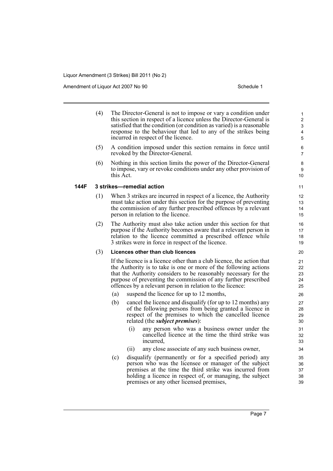Amendment of Liquor Act 2007 No 90 Schedule 1

**144F 3 strikes—remedial action**

| (4) | The Director-General is not to impose or vary a condition under<br>this section in respect of a licence unless the Director-General is<br>satisfied that the condition (or condition as varied) is a reasonable<br>response to the behaviour that led to any of the strikes being<br>incurred in respect of the licence.                     | 1<br>$\overline{2}$<br>3<br>4<br>5 |
|-----|----------------------------------------------------------------------------------------------------------------------------------------------------------------------------------------------------------------------------------------------------------------------------------------------------------------------------------------------|------------------------------------|
| (5) | A condition imposed under this section remains in force until<br>revoked by the Director-General.                                                                                                                                                                                                                                            | 6<br>7                             |
| (6) | Nothing in this section limits the power of the Director-General<br>to impose, vary or revoke conditions under any other provision of<br>this Act.                                                                                                                                                                                           | 8<br>9<br>10                       |
|     | 3 strikes—remedial action                                                                                                                                                                                                                                                                                                                    | 11                                 |
| (1) | When 3 strikes are incurred in respect of a licence, the Authority<br>must take action under this section for the purpose of preventing<br>the commission of any further prescribed offences by a relevant<br>person in relation to the licence.                                                                                             | 12<br>13<br>14<br>15               |
| (2) | The Authority must also take action under this section for that<br>purpose if the Authority becomes aware that a relevant person in<br>relation to the licence committed a prescribed offence while<br>3 strikes were in force in respect of the licence.                                                                                    | 16<br>17<br>18<br>19               |
| (3) | Licences other than club licences                                                                                                                                                                                                                                                                                                            | 20                                 |
|     | If the licence is a licence other than a club licence, the action that<br>the Authority is to take is one or more of the following actions<br>that the Authority considers to be reasonably necessary for the<br>purpose of preventing the commission of any further prescribed<br>offences by a relevant person in relation to the licence: | 21<br>22<br>23<br>24<br>25         |
|     | suspend the licence for up to 12 months,<br>(a)                                                                                                                                                                                                                                                                                              | 26                                 |
|     | cancel the licence and disqualify (for up to 12 months) any<br>(b)<br>of the following persons from being granted a licence in<br>respect of the premises to which the cancelled licence<br>related (the <i>subject premises</i> ):                                                                                                          | 27<br>28<br>29<br>30               |
|     | (i)<br>any person who was a business owner under the<br>cancelled licence at the time the third strike was<br>incurred,                                                                                                                                                                                                                      | 31<br>32<br>33                     |
|     | any close associate of any such business owner,<br>(ii)                                                                                                                                                                                                                                                                                      | 34                                 |
|     | (c)<br>disqualify (permanently or for a specified period) any<br>person who was the licensee or manager of the subject<br>premises at the time the third strike was incurred from<br>holding a licence in respect of, or managing, the subject                                                                                               | 35<br>36<br>37<br>38               |

premises or any other licensed premises,

39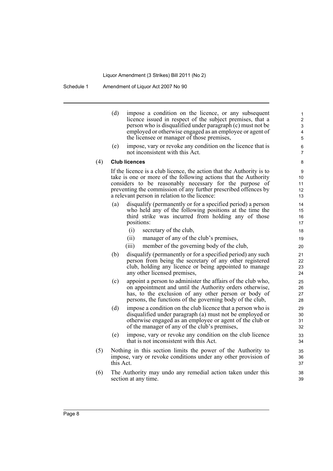|     | (d)<br>(e) | impose a condition on the licence, or any subsequent<br>licence issued in respect of the subject premises, that a<br>person who is disqualified under paragraph (c) must not be<br>employed or otherwise engaged as an employee or agent of<br>the licensee or manager of those premises,<br>impose, vary or revoke any condition on the licence that is | 1<br>$\overline{2}$<br>3<br>4<br>5<br>6 |
|-----|------------|----------------------------------------------------------------------------------------------------------------------------------------------------------------------------------------------------------------------------------------------------------------------------------------------------------------------------------------------------------|-----------------------------------------|
|     |            | not inconsistent with this Act.                                                                                                                                                                                                                                                                                                                          | 7                                       |
| (4) |            | <b>Club licences</b>                                                                                                                                                                                                                                                                                                                                     | 8                                       |
|     |            | If the licence is a club licence, the action that the Authority is to<br>take is one or more of the following actions that the Authority<br>considers to be reasonably necessary for the purpose of<br>preventing the commission of any further prescribed offences by<br>a relevant person in relation to the licence:                                  | 9<br>10<br>11<br>12<br>13               |
|     | (a)        | disqualify (permanently or for a specified period) a person<br>who held any of the following positions at the time the<br>third strike was incurred from holding any of those<br>positions:                                                                                                                                                              | 14<br>15<br>16<br>17                    |
|     |            | (i)<br>secretary of the club,                                                                                                                                                                                                                                                                                                                            | 18                                      |
|     |            | (ii)<br>manager of any of the club's premises,                                                                                                                                                                                                                                                                                                           | 19                                      |
|     |            | (iii)<br>member of the governing body of the club,                                                                                                                                                                                                                                                                                                       | 20                                      |
|     | (b)        | disqualify (permanently or for a specified period) any such<br>person from being the secretary of any other registered<br>club, holding any licence or being appointed to manage<br>any other licensed premises,                                                                                                                                         | 21<br>22<br>23<br>24                    |
|     | (c)        | appoint a person to administer the affairs of the club who,<br>on appointment and until the Authority orders otherwise,<br>has, to the exclusion of any other person or body of<br>persons, the functions of the governing body of the club,                                                                                                             | 25<br>26<br>27<br>28                    |
|     | (d)        | impose a condition on the club licence that a person who is<br>disqualified under paragraph (a) must not be employed or<br>otherwise engaged as an employee or agent of the club or<br>of the manager of any of the club's premises,                                                                                                                     | 29<br>30<br>31<br>32                    |
|     | (e)        | impose, vary or revoke any condition on the club licence<br>that is not inconsistent with this Act.                                                                                                                                                                                                                                                      | 33<br>34                                |
| (5) | this Act.  | Nothing in this section limits the power of the Authority to<br>impose, vary or revoke conditions under any other provision of                                                                                                                                                                                                                           | 35<br>36<br>37                          |
| (6) |            | The Authority may undo any remedial action taken under this<br>section at any time.                                                                                                                                                                                                                                                                      | 38<br>39                                |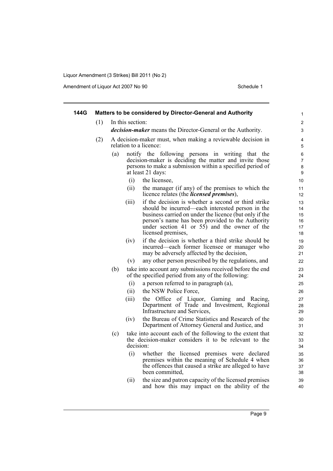Amendment of Liquor Act 2007 No 90 Schedule 1

| 144G |     | Matters to be considered by Director-General and Authority                                                                                                                                                                                                                                           | 1                                |
|------|-----|------------------------------------------------------------------------------------------------------------------------------------------------------------------------------------------------------------------------------------------------------------------------------------------------------|----------------------------------|
|      | (1) | In this section:                                                                                                                                                                                                                                                                                     | $\overline{2}$                   |
|      |     | <i>decision-maker</i> means the Director-General or the Authority.                                                                                                                                                                                                                                   | 3                                |
|      | (2) | A decision-maker must, when making a reviewable decision in<br>relation to a licence:                                                                                                                                                                                                                | 4<br>5                           |
|      |     | notify the following persons in writing that the<br>(a)<br>decision-maker is deciding the matter and invite those<br>persons to make a submission within a specified period of<br>at least 21 days:                                                                                                  | 6<br>$\overline{7}$<br>8<br>9    |
|      |     | the licensee,<br>(i)                                                                                                                                                                                                                                                                                 | 10                               |
|      |     | (ii)<br>the manager (if any) of the premises to which the<br>licence relates (the <i>licensed premises</i> ),                                                                                                                                                                                        | 11<br>12                         |
|      |     | if the decision is whether a second or third strike<br>(iii)<br>should be incurred—each interested person in the<br>business carried on under the licence (but only if the<br>person's name has been provided to the Authority<br>under section 41 or 55) and the owner of the<br>licensed premises, | 13<br>14<br>15<br>16<br>17<br>18 |
|      |     | if the decision is whether a third strike should be<br>(iv)<br>incurred—each former licensee or manager who<br>may be adversely affected by the decision,                                                                                                                                            | 19<br>20<br>21                   |
|      |     | any other person prescribed by the regulations, and<br>(v)                                                                                                                                                                                                                                           | 22                               |
|      |     | take into account any submissions received before the end<br>(b)<br>of the specified period from any of the following:                                                                                                                                                                               | 23<br>24                         |
|      |     | (i)<br>a person referred to in paragraph (a),                                                                                                                                                                                                                                                        | 25                               |
|      |     | the NSW Police Force,<br>(ii)                                                                                                                                                                                                                                                                        | 26                               |
|      |     | (iii)<br>the Office of Liquor, Gaming and Racing,<br>Department of Trade and Investment, Regional<br>Infrastructure and Services,                                                                                                                                                                    | 27<br>28<br>29                   |
|      |     | the Bureau of Crime Statistics and Research of the<br>(iv)<br>Department of Attorney General and Justice, and                                                                                                                                                                                        | 30<br>31                         |
|      |     | take into account each of the following to the extent that<br>(c)<br>the decision-maker considers it to be relevant to the<br>decision:                                                                                                                                                              | 32<br>33<br>34                   |
|      |     | (i)<br>whether the licensed premises were declared<br>premises within the meaning of Schedule 4 when<br>the offences that caused a strike are alleged to have<br>been committed,                                                                                                                     | 35<br>36<br>37<br>38             |
|      |     | the size and patron capacity of the licensed premises<br>(ii)<br>and how this may impact on the ability of the                                                                                                                                                                                       | 39<br>40                         |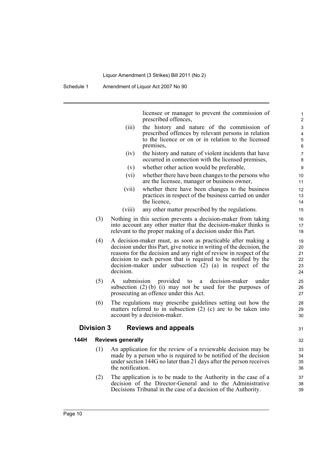Schedule 1 Amendment of Liquor Act 2007 No 90

licensee or manager to prevent the commission of prescribed offences,

- (iii) the history and nature of the commission of prescribed offences by relevant persons in relation to the licence or on or in relation to the licensed premises,
- (iv) the history and nature of violent incidents that have occurred in connection with the licensed premises,
- (v) whether other action would be preferable,
- (vi) whether there have been changes to the persons who are the licensee, manager or business owner,
- (vii) whether there have been changes to the business practices in respect of the business carried on under the licence,
- (viii) any other matter prescribed by the regulations.
- (3) Nothing in this section prevents a decision-maker from taking into account any other matter that the decision-maker thinks is relevant to the proper making of a decision under this Part.
- (4) A decision-maker must, as soon as practicable after making a decision under this Part, give notice in writing of the decision, the reasons for the decision and any right of review in respect of the decision to each person that is required to be notified by the decision-maker under subsection (2) (a) in respect of the decision.
- (5) A submission provided to a decision-maker under subsection (2) (b) (i) may not be used for the purposes of prosecuting an offence under this Act.
- (6) The regulations may prescribe guidelines setting out how the matters referred to in subsection (2) (c) are to be taken into account by a decision-maker.

### **Division 3 Reviews and appeals**

### **144H Reviews generally**

- (1) An application for the review of a reviewable decision may be made by a person who is required to be notified of the decision under section 144G no later than 21 days after the person receives the notification.
- (2) The application is to be made to the Authority in the case of a decision of the Director-General and to the Administrative Decisions Tribunal in the case of a decision of the Authority.

32 33

31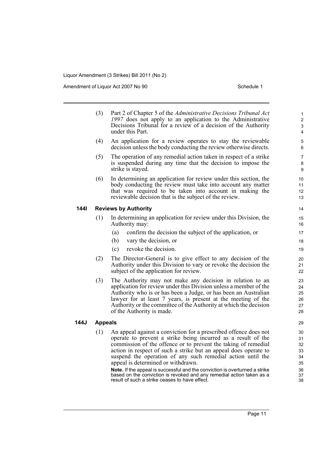Amendment of Liquor Act 2007 No 90 Schedule 1

|      | (3)            | Part 2 of Chapter 5 of the Administrative Decisions Tribunal Act<br>1997 does not apply to an application to the Administrative<br>Decisions Tribunal for a review of a decision of the Authority<br>under this Part.                                                                                                                                                                                                                                                                                                                                                                  | 1<br>$\overline{2}$<br>3<br>$\overline{4}$         |
|------|----------------|----------------------------------------------------------------------------------------------------------------------------------------------------------------------------------------------------------------------------------------------------------------------------------------------------------------------------------------------------------------------------------------------------------------------------------------------------------------------------------------------------------------------------------------------------------------------------------------|----------------------------------------------------|
|      | (4)            | An application for a review operates to stay the reviewable<br>decision unless the body conducting the review otherwise directs.                                                                                                                                                                                                                                                                                                                                                                                                                                                       | 5<br>6                                             |
|      | (5)            | The operation of any remedial action taken in respect of a strike<br>is suspended during any time that the decision to impose the<br>strike is stayed.                                                                                                                                                                                                                                                                                                                                                                                                                                 | 7<br>8<br>9                                        |
|      | (6)            | In determining an application for review under this section, the<br>body conducting the review must take into account any matter<br>that was required to be taken into account in making the<br>reviewable decision that is the subject of the review.                                                                                                                                                                                                                                                                                                                                 | 10<br>11<br>12<br>13                               |
| 1441 |                | <b>Reviews by Authority</b>                                                                                                                                                                                                                                                                                                                                                                                                                                                                                                                                                            | 14                                                 |
|      | (1)            | In determining an application for review under this Division, the<br>Authority may:                                                                                                                                                                                                                                                                                                                                                                                                                                                                                                    | 15<br>16                                           |
|      |                | confirm the decision the subject of the application, or<br>(a)                                                                                                                                                                                                                                                                                                                                                                                                                                                                                                                         | 17                                                 |
|      |                | (b)<br>vary the decision, or                                                                                                                                                                                                                                                                                                                                                                                                                                                                                                                                                           | 18                                                 |
|      |                | revoke the decision.<br>(c)                                                                                                                                                                                                                                                                                                                                                                                                                                                                                                                                                            | 19                                                 |
|      | (2)            | The Director-General is to give effect to any decision of the<br>Authority under this Division to vary or revoke the decision the<br>subject of the application for review.                                                                                                                                                                                                                                                                                                                                                                                                            | 20<br>21<br>22                                     |
|      | (3)            | The Authority may not make any decision in relation to an<br>application for review under this Division unless a member of the<br>Authority who is or has been a Judge, or has been an Australian<br>lawyer for at least 7 years, is present at the meeting of the<br>Authority or the committee of the Authority at which the decision<br>of the Authority is made.                                                                                                                                                                                                                   | 23<br>24<br>25<br>26<br>27<br>28                   |
| 144J | <b>Appeals</b> |                                                                                                                                                                                                                                                                                                                                                                                                                                                                                                                                                                                        | 29                                                 |
|      | (1)            | An appeal against a conviction for a prescribed offence does not<br>operate to prevent a strike being incurred as a result of the<br>commission of the offence or to prevent the taking of remedial<br>action in respect of such a strike but an appeal does operate to<br>suspend the operation of any such remedial action until the<br>appeal is determined or withdrawn.<br>Note. If the appeal is successful and the conviction is overturned a strike<br>based on the conviction is revoked and any remedial action taken as a<br>result of such a strike ceases to have effect. | 30<br>31<br>32<br>33<br>34<br>35<br>36<br>37<br>38 |
|      |                |                                                                                                                                                                                                                                                                                                                                                                                                                                                                                                                                                                                        |                                                    |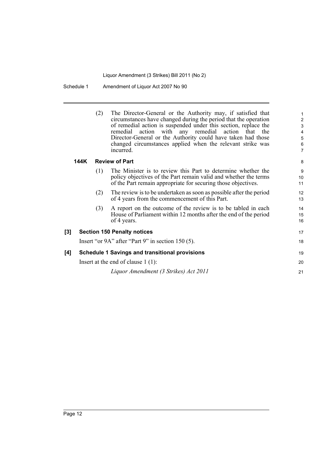Schedule 1 Amendment of Liquor Act 2007 No 90

| (2) | The Director-General or the Authority may, if satisfied that<br>circumstances have changed during the period that the operation |
|-----|---------------------------------------------------------------------------------------------------------------------------------|
|     |                                                                                                                                 |
|     | of remedial action is suspended under this section, replace the                                                                 |
|     | remedial action with any remedial action that the                                                                               |
|     | Director-General or the Authority could have taken had those                                                                    |
|     | changed circumstances applied when the relevant strike was                                                                      |
|     | incurred.                                                                                                                       |

21

### **144K Review of Part**

| (1)                  | The Minister is to review this Part to determine whether the     |  |
|----------------------|------------------------------------------------------------------|--|
|                      | policy objectives of the Part remain valid and whether the terms |  |
|                      | of the Part remain appropriate for securing those objectives.    |  |
| $\sim$ $\sim$ $\sim$ |                                                                  |  |

- (2) The review is to be undertaken as soon as possible after the period of 4 years from the commencement of this Part.
- (3) A report on the outcome of the review is to be tabled in each House of Parliament within 12 months after the end of the period of 4 years.

### **[3] Section 150 Penalty notices** Insert "or 9A" after "Part 9" in section 150 (5).

| [4] | <b>Schedule 1 Savings and transitional provisions</b> | 19 |
|-----|-------------------------------------------------------|----|
|     | Insert at the end of clause $1(1)$ :                  | 20 |

*Liquor Amendment (3 Strikes) Act 2011*